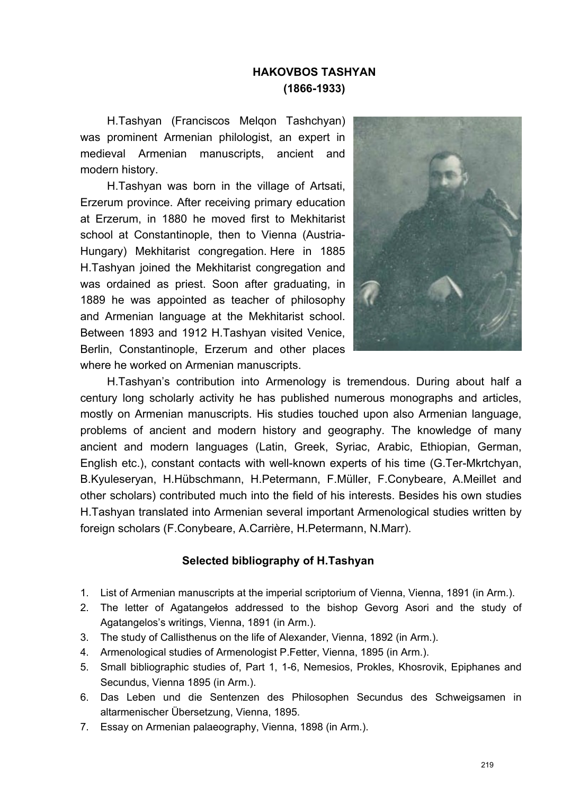## **HAKOVBOS TASHYAN (1866-1933)**

H.Tashyan (Franciscos Melqon Tashchyan) was prominent Armenian philologist, an expert in medieval Armenian manuscripts, ancient and modern history.

H.Tashyan was born in the village of Artsati, Erzerum province. After receiving primary education at Erzerum, in 1880 he moved first to Mekhitarist school at Constantinople, then to Vienna (Austria-Hungary) Mekhitarist congregation. Here in 1885 H.Tashyan joined the Mekhitarist congregation and was ordained as priest. Soon after graduating, in 1889 he was appointed as teacher of philosophy and Armenian language at the Mekhitarist school. Between 1893 and 1912 H.Tashyan visited Venice, Berlin, Constantinople, Erzerum and other places where he worked on Armenian manuscripts.



H.Tashyan's contribution into Armenology is tremendous. During about half a century long scholarly activity he has published numerous monographs and articles, mostly on Armenian manuscripts. His studies touched upon also Armenian language, problems of ancient and modern history and geography. The knowledge of many ancient and modern languages (Latin, Greek, Syriac, Arabic, Ethiopian, German, English etc.), constant contacts with well-known experts of his time (G.Ter-Mkrtchyan, B.Kyuleseryan, H.Hübschmann, H.Petermann, F.Müller, F.Conybeare, A.Meillet and other scholars) contributed much into the field of his interests. Besides his own studies H.Tashyan translated into Armenian several important Armenological studies written by foreign scholars (F.Conybeare, A.Carrière, H.Petermann, N.Marr).

## **Selected bibliography of H.Tashyan**

- 1. List of Armenian manuscripts at the imperial scriptorium of Vienna, Vienna, 1891 (in Arm.).
- 2. The letter of Agatangełos addressed to the bishop Gevorg Asori and the study of Agatangelos's writings, Vienna, 1891 (in Arm.).
- 3. The study of Callisthenus on the life of Alexander, Vienna, 1892 (in Arm.).
- 4. Armenological studies of Armenologist P.Fetter, Vienna, 1895 (in Arm.).
- 5. Small bibliographic studies of, Part 1, 1-6, Nemesios, Prokles, Khosrovik, Epiphanes and Secundus, Vienna 1895 (in Arm.).
- 6. Das Leben und die Sentenzen des Philosophen Secundus des Schweigsamen in altarmenischer Übersetzung, Vienna, 1895.
- 7. Essay on Armenian palaeography, Vienna, 1898 (in Arm.).